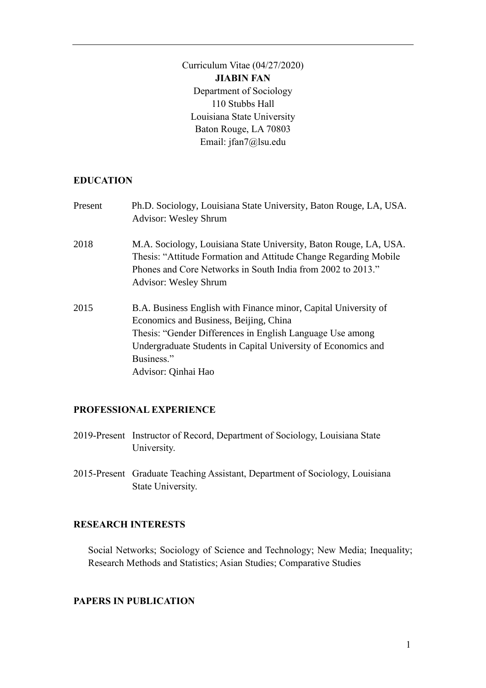Curriculum Vitae (04/27/2020) **JIABIN FAN** Department of Sociology 110 Stubbs Hall Louisiana State University Baton Rouge, LA 70803 Email: jfan7@lsu.edu

#### **EDUCATION**

| Present | Ph.D. Sociology, Louisiana State University, Baton Rouge, LA, USA.<br><b>Advisor: Wesley Shrum</b>                                                                                                                                                                           |
|---------|------------------------------------------------------------------------------------------------------------------------------------------------------------------------------------------------------------------------------------------------------------------------------|
| 2018    | M.A. Sociology, Louisiana State University, Baton Rouge, LA, USA.<br>Thesis: "Attitude Formation and Attitude Change Regarding Mobile<br>Phones and Core Networks in South India from 2002 to 2013."<br><b>Advisor: Wesley Shrum</b>                                         |
| 2015    | B.A. Business English with Finance minor, Capital University of<br>Economics and Business, Beijing, China<br>Thesis: "Gender Differences in English Language Use among<br>Undergraduate Students in Capital University of Economics and<br>Business."<br>Advisor: Qinhai Hao |

#### **PROFESSIONAL EXPERIENCE**

- 2019-Present Instructor of Record, Department of Sociology, Louisiana State University.
- 2015-Present Graduate Teaching Assistant, Department of Sociology, Louisiana State University.

## **RESEARCH INTERESTS**

Social Networks; Sociology of Science and Technology; New Media; Inequality; Research Methods and Statistics; Asian Studies; Comparative Studies

#### **PAPERS IN PUBLICATION**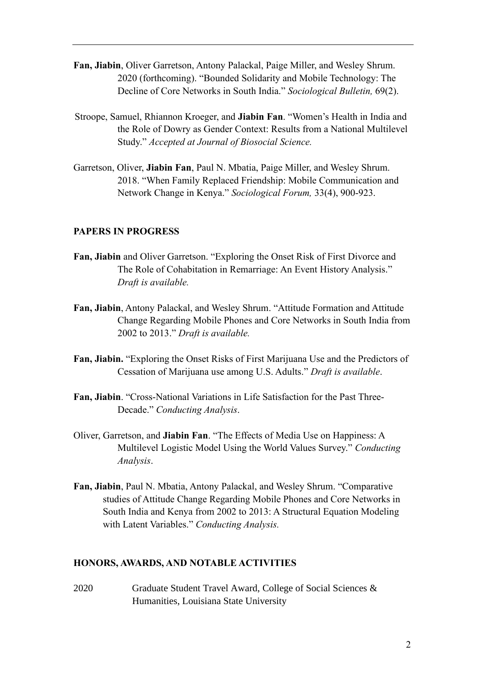- **Fan, Jiabin**, Oliver Garretson, Antony Palackal, Paige Miller, and Wesley Shrum. 2020 (forthcoming). "Bounded Solidarity and Mobile Technology: The Decline of Core Networks in South India." *Sociological Bulletin,* 69(2).
- Stroope, Samuel, Rhiannon Kroeger, and **Jiabin Fan**. "Women's Health in India and the Role of Dowry as Gender Context: Results from a National Multilevel Study." *Accepted at Journal of Biosocial Science.*
- Garretson, Oliver, **Jiabin Fan**, Paul N. Mbatia, Paige Miller, and Wesley Shrum. 2018. "When Family Replaced Friendship: Mobile Communication and Network Change in Kenya." *Sociological Forum,* 33(4), 900-923.

## **PAPERS IN PROGRESS**

- **Fan, Jiabin** and Oliver Garretson. "Exploring the Onset Risk of First Divorce and The Role of Cohabitation in Remarriage: An Event History Analysis." *Draft is available.*
- **Fan, Jiabin**, Antony Palackal, and Wesley Shrum. "Attitude Formation and Attitude Change Regarding Mobile Phones and Core Networks in South India from 2002 to 2013." *Draft is available.*
- **Fan, Jiabin.** "Exploring the Onset Risks of First Marijuana Use and the Predictors of Cessation of Marijuana use among U.S. Adults." *Draft is available*.
- **Fan, Jiabin**. "Cross-National Variations in Life Satisfaction for the Past Three-Decade." *Conducting Analysis*.
- Oliver, Garretson, and **Jiabin Fan**. "The Effects of Media Use on Happiness: A Multilevel Logistic Model Using the World Values Survey." *Conducting Analysis*.
- **Fan, Jiabin**, Paul N. Mbatia, Antony Palackal, and Wesley Shrum. "Comparative studies of Attitude Change Regarding Mobile Phones and Core Networks in South India and Kenya from 2002 to 2013: A Structural Equation Modeling with Latent Variables." *Conducting Analysis.*

#### **HONORS, AWARDS, AND NOTABLE ACTIVITIES**

2020 Graduate Student Travel Award, College of Social Sciences & Humanities, Louisiana State University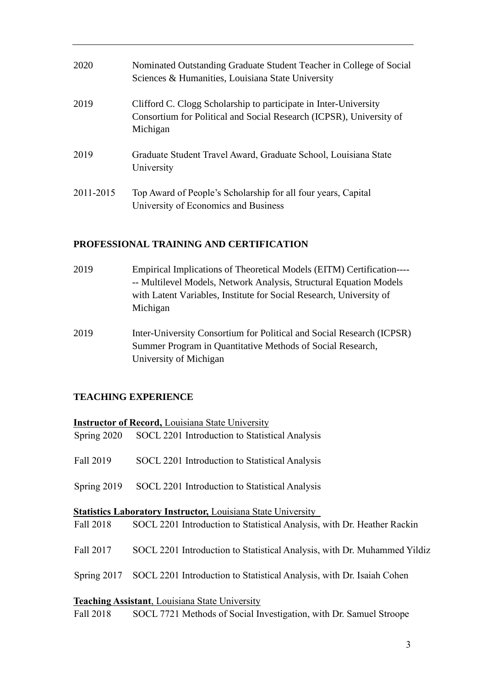| 2020      | Nominated Outstanding Graduate Student Teacher in College of Social<br>Sciences & Humanities, Louisiana State University                            |
|-----------|-----------------------------------------------------------------------------------------------------------------------------------------------------|
| 2019      | Clifford C. Clogg Scholarship to participate in Inter-University<br>Consortium for Political and Social Research (ICPSR), University of<br>Michigan |
| 2019      | Graduate Student Travel Award, Graduate School, Louisiana State<br>University                                                                       |
| 2011-2015 | Top Award of People's Scholarship for all four years, Capital<br>University of Economics and Business                                               |

## **PROFESSIONAL TRAINING AND CERTIFICATION**

- 2019 Empirical Implications of Theoretical Models (EITM) Certification---- -- Multilevel Models, Network Analysis, Structural Equation Models with Latent Variables, Institute for Social Research, University of Michigan
- 2019 Inter-University Consortium for Political and Social Research (ICPSR) Summer Program in Quantitative Methods of Social Research, University of Michigan

## **TEACHING EXPERIENCE**

|               | <b>Instructor of Record, Louisiana State University</b>                  |
|---------------|--------------------------------------------------------------------------|
|               | Spring 2020 SOCL 2201 Introduction to Statistical Analysis               |
| Fall 2019     | SOCL 2201 Introduction to Statistical Analysis                           |
| Spring $2019$ | SOCL 2201 Introduction to Statistical Analysis                           |
|               | <b>Statistics Laboratory Instructor, Louisiana State University</b>      |
| Fall 2018     | SOCL 2201 Introduction to Statistical Analysis, with Dr. Heather Rackin  |
| Fall 2017     | SOCL 2201 Introduction to Statistical Analysis, with Dr. Muhammed Yildiz |
| Spring $2017$ | SOCL 2201 Introduction to Statistical Analysis, with Dr. Isaiah Cohen    |
|               | <b>Teaching Assistant, Louisiana State University</b>                    |
| Fall 2018     | SOCL 7721 Methods of Social Investigation, with Dr. Samuel Stroope       |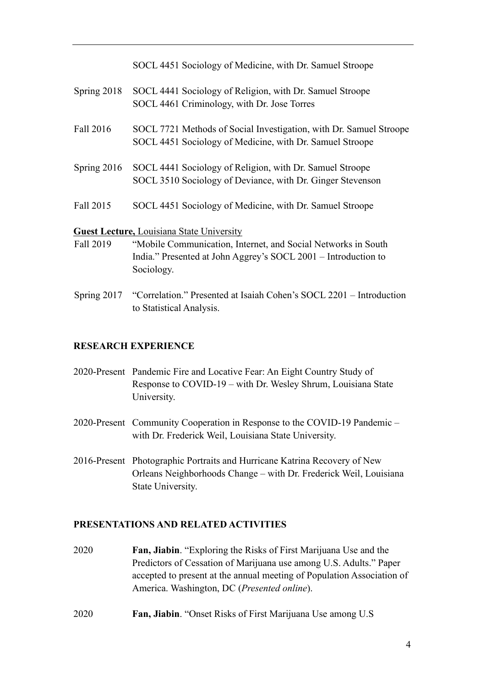SOCL 4451 Sociology of Medicine, with Dr. Samuel Stroope Spring 2018 SOCL 4441 Sociology of Religion, with Dr. Samuel Stroope SOCL 4461 Criminology, with Dr. Jose Torres Fall 2016 SOCL 7721 Methods of Social Investigation, with Dr. Samuel Stroope SOCL 4451 Sociology of Medicine, with Dr. Samuel Stroope Spring 2016 SOCL 4441 Sociology of Religion, with Dr. Samuel Stroope SOCL 3510 Sociology of Deviance, with Dr. Ginger Stevenson Fall 2015 SOCL 4451 Sociology of Medicine, with Dr. Samuel Stroope **Guest Lecture,** Louisiana State University Fall 2019 "Mobile Communication, Internet, and Social Networks in South

- India." Presented at John Aggrey's SOCL 2001 Introduction to Sociology.
- Spring 2017 "Correlation." Presented at Isaiah Cohen's SOCL 2201 Introduction to Statistical Analysis.

# **RESEARCH EXPERIENCE**

- 2020-Present Pandemic Fire and Locative Fear: An Eight Country Study of Response to COVID-19 – with Dr. Wesley Shrum, Louisiana State University.
- 2020-Present Community Cooperation in Response to the COVID-19 Pandemic with Dr. Frederick Weil, Louisiana State University.
- 2016-Present Photographic Portraits and Hurricane Katrina Recovery of New Orleans Neighborhoods Change – with Dr. Frederick Weil, Louisiana State University.

## **PRESENTATIONS AND RELATED ACTIVITIES**

- 2020 **Fan, Jiabin**. "Exploring the Risks of First Marijuana Use and the Predictors of Cessation of Marijuana use among U.S. Adults." Paper accepted to present at the annual meeting of Population Association of America. Washington, DC (*Presented online*).
- 2020 **Fan, Jiabin**. "Onset Risks of First Marijuana Use among U.S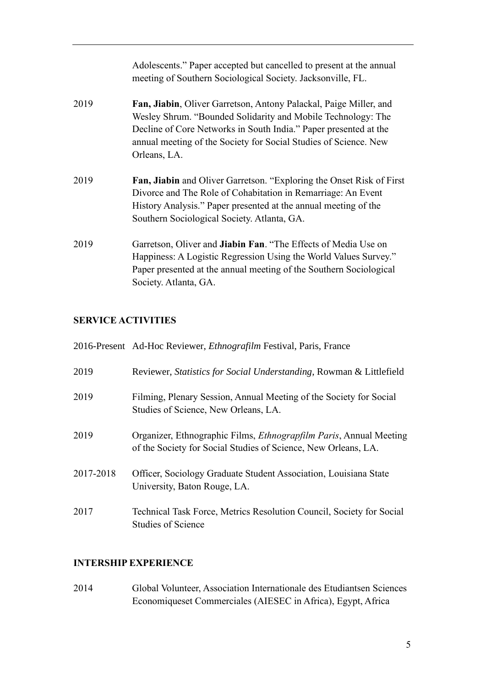|      | Adolescents." Paper accepted but cancelled to present at the annual<br>meeting of Southern Sociological Society. Jacksonville, FL.                                                                                                                                                        |
|------|-------------------------------------------------------------------------------------------------------------------------------------------------------------------------------------------------------------------------------------------------------------------------------------------|
| 2019 | Fan, Jiabin, Oliver Garretson, Antony Palackal, Paige Miller, and<br>Wesley Shrum. "Bounded Solidarity and Mobile Technology: The<br>Decline of Core Networks in South India." Paper presented at the<br>annual meeting of the Society for Social Studies of Science. New<br>Orleans, LA. |
| 2019 | Fan, Jiabin and Oliver Garretson. "Exploring the Onset Risk of First<br>Divorce and The Role of Cohabitation in Remarriage: An Event<br>History Analysis." Paper presented at the annual meeting of the<br>Southern Sociological Society. Atlanta, GA.                                    |
| 2019 | Garretson, Oliver and <b>Jiabin Fan</b> . "The Effects of Media Use on<br>Happiness: A Logistic Regression Using the World Values Survey."<br>Paper presented at the annual meeting of the Southern Sociological<br>Society. Atlanta, GA.                                                 |

# **SERVICE ACTIVITIES**

|           | 2016-Present Ad-Hoc Reviewer, <i>Ethnografilm</i> Festival, Paris, France                                                                    |
|-----------|----------------------------------------------------------------------------------------------------------------------------------------------|
| 2019      | Reviewer, <i>Statistics for Social Understanding</i> , Rowman & Littlefield                                                                  |
| 2019      | Filming, Plenary Session, Annual Meeting of the Society for Social<br>Studies of Science, New Orleans, LA.                                   |
| 2019      | Organizer, Ethnographic Films, <i>Ethnograpfilm Paris</i> , Annual Meeting<br>of the Society for Social Studies of Science, New Orleans, LA. |
| 2017-2018 | Officer, Sociology Graduate Student Association, Louisiana State<br>University, Baton Rouge, LA.                                             |
| 2017      | Technical Task Force, Metrics Resolution Council, Society for Social<br><b>Studies of Science</b>                                            |

# **INTERSHIP EXPERIENCE**

2014 Global Volunteer, Association Internationale des Etudiantsen Sciences Economiqueset Commerciales (AIESEC in Africa), Egypt, Africa